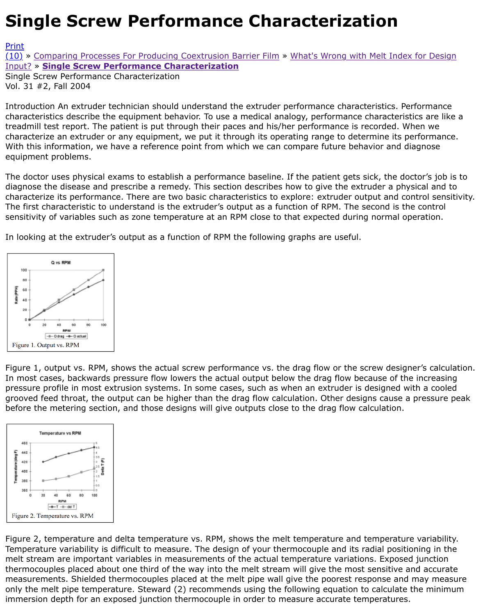Vol. 31 #2, Fall 2004

Introduction An extruder technician should understand the extruder performance characteristics. Pe characteristics describe the equipment behavior. To use a medical analogy, performance characteristics [tread](http://extrusionwiki.com/wiki/Print.aspx?Page=CC-V31-2-A)mill test report. The patient is put through their paces and his/her performance is recorded. W [chara](http://extrusionwiki.com/wiki/CC-V31-2-A.ashx#)c[terize an extruder or any equipment, we put it through its op](http://extrusionwiki.com/wiki/CC-V33-1-G.ashx)erating range to determine its performance. [With this information, we have a reference point from which we can compare future behavior and diagnose](http://extrusionwiki.com/wiki/CC-V33-1-H.ashx). equipment problems.

The doctor uses physical exams to establish a performance baseline. If the patient gets sick, the do diagnose the disease and prescribe a remedy. This section describes how to give the extruder a phy characterize its performance. There are two basic characteristics to explore: extruder output and co The first characteristic to understand is the extruder's output as a function of RPM. The second is th sensitivity of variables such as zone temperature at an RPM close to that expected during normal op

In looking at the extruder's output as a function of RPM the following graphs are useful.



Figure 1, output vs. RPM, shows the actual screw performance vs. the drag flow or the screw desigre In most cases, backwards pressure flow lowers the actual output below the drag flow because of the pressure profile in most extrusion systems. In some cases, such as when an extruder is designed w grooved feed throat, the output can be higher than the drag flow calculation. Other designs cause a before the metering section, and those designs will give outputs close to the drag flow calculation.



Figure 2, temperature and delta temperature vs. RPM, shows the melt temperature and temperature Temperature variability is difficult to measure. The design of your thermocouple and its radial positioning in melt stream are important variables in measurements of the actual temperature variations. Exposed thermocouples placed about one third of the way into the melt stream will give the most sensitive a measurements. Shielded thermocouples placed at the melt pipe wall give the poorest response and only the melt pipe temperature. Steward (2) recommends using the following equation to calculate immersion depth for an exposed junction thermocouple in order to measure accurate temperatures.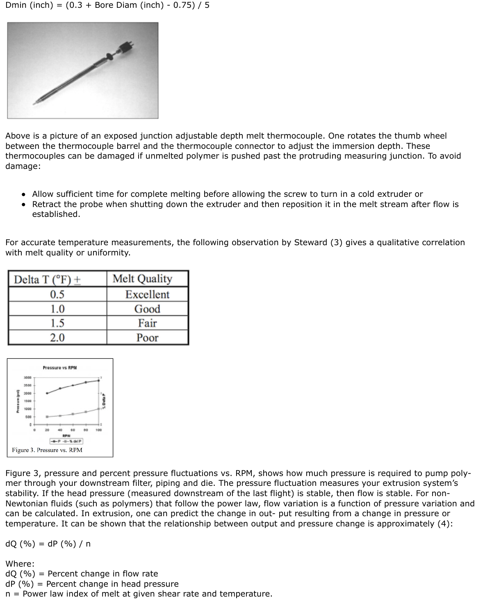

Above is a picture of an exposed junction adjustable depth melt thermocouple. One rotates the thumb wheel between the thermocouple barrel and the thermocouple connector to adjust the immersion depth. These thermocouples can be damaged if unmelted polymer is pushed past the protruding measuring junction. To avoid damage:

- Allow sufficient time for complete melting before allowing the screw to turn in a cold extruder or
- Retract the probe when shutting down the extruder and then reposition it in the melt stream after flow is established.

For accurate temperature measurements, the following observation by Steward (3) gives a qualitative correlation with melt quality or uniformity.

| Delta $T({}^{\circ}F)$ | Melt Quality |
|------------------------|--------------|
| 0.5                    | Excellent    |
| 1.0                    | Good         |
| .5                     | Fair         |
| 2.0                    | Poor         |



Figure 3, pressure and percent pressure fluctuations vs. RPM, shows how much pressure is required to pump polymer through your downstream filter, piping and die. The pressure fluctuation measures your extrusion system's stability. If the head pressure (measured downstream of the last flight) is stable, then flow is stable. For non-Newtonian fluids (such as polymers) that follow the power law, flow variation is a function of pressure variation and can be calculated. In extrusion, one can predict the change in out- put resulting from a change in pressure or temperature. It can be shown that the relationship between output and pressure change is approximately (4):

 $dQ (% ) = dP (% ) / n$ 

Where:  $dQ$  (%) = Percent change in flow rate  $dP$  (%) = Percent change in head pressure  $n =$  Power law index of melt at given shear rate and temperature.